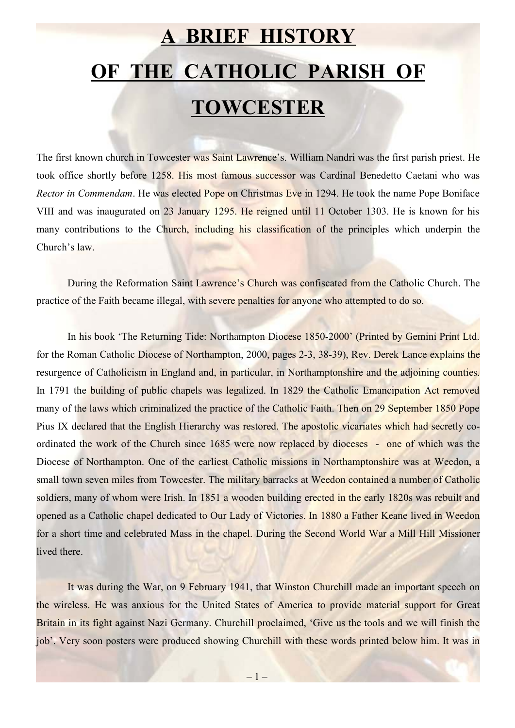## **A BRIEF HISTORY OF THE CATHOLIC PARISH OF TOWCESTER**

The first known church in Towcester was Saint Lawrence's. William Nandri was the first parish priest. He took office shortly before 1258. His most famous successor was Cardinal Benedetto Caetani who was *Rector in Commendam*. He was elected Pope on Christmas Eve in 1294. He took the name Pope Boniface VIII and was inaugurated on 23 January 1295. He reigned until 11 October 1303. He is known for his many contributions to the Church, including his classification of the principles which underpin the Church's law.

During the Reformation Saint Lawrence's Church was confiscated from the Catholic Church. The practice of the Faith became illegal, with severe penalties for anyone who attempted to do so.

In his book 'The Returning Tide: Northampton Diocese 1850-2000' (Printed by Gemini Print Ltd. for the Roman Catholic Diocese of Northampton, 2000, pages 2-3, 38-39), Rev. Derek Lance explains the resurgence of Catholicism in England and, in particular, in Northamptonshire and the adjoining counties. In 1791 the building of public chapels was legalized. In 1829 the Catholic Emancipation Act removed many of the laws which criminalized the practice of the Catholic Faith. Then on 29 September 1850 Pope Pius IX declared that the English Hierarchy was restored. The apostolic vicariates which had secretly coordinated the work of the Church since 1685 were now replaced by dioceses - one of which was the Diocese of Northampton. One of the earliest Catholic missions in Northamptonshire was at Weedon, a small town seven miles from Towcester. The military barracks at Weedon contained a number of Catholic soldiers, many of whom were Irish. In 1851 a wooden building erected in the early 1820s was rebuilt and opened as a Catholic chapel dedicated to Our Lady of Victories. In 1880 a Father Keane lived in Weedon for a short time and celebrated Mass in the chapel. During the Second World War a Mill Hill Missioner lived there.

It was during the War, on 9 February 1941, that Winston Churchill made an important speech on the wireless. He was anxious for the United States of America to provide material support for Great Britain in its fight against Nazi Germany. Churchill proclaimed, 'Give us the tools and we will finish the job'. Very soon posters were produced showing Churchill with these words printed below him. It was in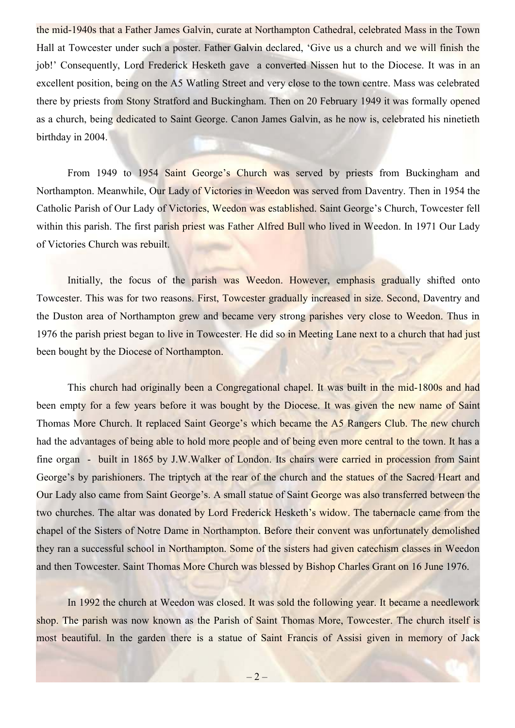the mid-1940s that a Father James Galvin, curate at Northampton Cathedral, celebrated Mass in the Town Hall at Towcester under such a poster. Father Galvin declared, 'Give us a church and we will finish the job!' Consequently, Lord Frederick Hesketh gave a converted Nissen hut to the Diocese. It was in an excellent position, being on the A5 Watling Street and very close to the town centre. Mass was celebrated there by priests from Stony Stratford and Buckingham. Then on 20 February 1949 it was formally opened as a church, being dedicated to Saint George. Canon James Galvin, as he now is, celebrated his ninetieth birthday in 2004.

From 1949 to 1954 Saint George's Church was served by priests from Buckingham and Northampton. Meanwhile, Our Lady of Victories in Weedon was served from Daventry. Then in 1954 the Catholic Parish of Our Lady of Victories, Weedon was established. Saint George's Church, Towcester fell within this parish. The first parish priest was Father Alfred Bull who lived in Weedon. In 1971 Our Lady of Victories Church was rebuilt.

Initially, the focus of the parish was Weedon. However, emphasis gradually shifted onto Towcester. This was for two reasons. First, Towcester gradually increased in size. Second, Daventry and the Duston area of Northampton grew and became very strong parishes very close to Weedon. Thus in 1976 the parish priest began to live in Towcester. He did so in Meeting Lane next to a church that had just been bought by the Diocese of Northampton.

This church had originally been a Congregational chapel. It was built in the mid-1800s and had been empty for a few years before it was bought by the Diocese. It was given the new name of Saint Thomas More Church. It replaced Saint George's which became the A5 Rangers Club. The new church had the advantages of being able to hold more people and of being even more central to the town. It has a fine organ - built in 1865 by J.W.Walker of London. Its chairs were carried in procession from Saint George's by parishioners. The triptych at the rear of the church and the statues of the Sacred Heart and Our Lady also came from Saint George's. A small statue of Saint George was also transferred between the two churches. The altar was donated by Lord Frederick Hesketh's widow. The tabernacle came from the chapel of the Sisters of Notre Dame in Northampton. Before their convent was unfortunately demolished they ran a successful school in Northampton. Some of the sisters had given catechism classes in Weedon and then Towcester. Saint Thomas More Church was blessed by Bishop Charles Grant on 16 June 1976.

In 1992 the church at Weedon was closed. It was sold the following year. It became a needlework shop. The parish was now known as the Parish of Saint Thomas More, Towcester. The church itself is most beautiful. In the garden there is a statue of Saint Francis of Assisi given in memory of Jack